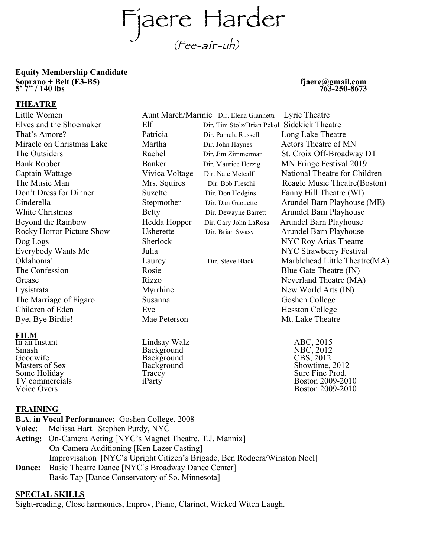Fjaere Harder (Fee-air-uh)

# **Equity Membership Candidate Soprano + Belt (E3-B5)** fjaere@gmail.com<br>5' 7" / 140 lbs 763-250-8673<br>**THEATRE**

Little Women Aunt March/Marmie Dir. Elena Giannetti Lyric Theatre Elves and the Shoemaker Elf Dir. Tim Stolz/Brian Pekol Sidekick Theatre That's Amore? Patricia Dir. Pamela Russell Long Lake Theatre Miracle on Christmas Lake Martha Dir. John Haynes Actors Theatre of MN Bank Robber Banker Dir. Maurice Herzig MN Fringe Festival 2019 Don't Dress for Dinner Suzette Dir. Don Hodgins Fanny Hill Theatre (WI) White Christmas **Betty** Dir. Dewayne Barrett Arundel Barn Playhouse Barrett Arundel Barn Playhouse Beyond the Rainbow Hedda Hopper Dir. Gary John LaRosa Arundel Barn Playhouse Rocky Horror Picture Show Usherette Dir. Brian Swasy Arundel Barn Playhouse Dog Logs Sherlock NYC Roy Arias Theatre<br>Everybody Wants Me Julia NYC Strawberry Festiva The Confession Rosie Rosie Blue Gate Theatre (IN) Grease Rizzo Rizzo Neverland Theatre (MA) Lysistrata Myrrhine New World Arts (IN) The Marriage of Figaro Susanna Susanna Goshen College Children of Eden Eve Hesston College Bye, Bye Birdie! Mae Peterson Manuel Mt. Lake Theatre

## **FILM**<br>In an Instant

Smash Background NBC, 2012 Goodwife Background CBS, 2012

Lindsay Walz<br>Background

The Outsiders **Rachel Dir. Jim Zimmerman** St. Croix Off-Broadway DT Captain Wattage Vivica Voltage Dir. Nate Metcalf National Theatre for Children The Music Man Mrs. Squires Dir. Bob Freschi Reagle Music Theatre(Boston) Cinderella Stepmother Dir. Dan Gaouette Arundel Barn Playhouse (ME) Julia NYC Strawberry Festival Oklahoma! Laurey Dir. Steve Black Marblehead Little Theatre(MA)

Masters of Sex Background<br>
Masters of Sex Background<br>
Some Holiday Tracey Tracey Some Holiday **Sure Fine Prodential Some Holiday** Tracey **Sure Fine Prodential Sure Fine Prodential Sure Fine Prod.**<br>TV commercials iParty in the set of the Boston 2009-20 TV commercials iParty in the set of the Boston 2009-2010<br>Voice Overs Boston 2009-2010 Boston 2009-2010

## **TRAINING**

**B.A. in Vocal Performance:** Goshen College, 2008

- **Voice**: Melissa Hart. Stephen Purdy, NYC
- **Acting:** On-Camera Acting [NYC's Magnet Theatre, T.J. Mannix] On-Camera Auditioning [Ken Lazer Casting] Improvisation [NYC's Upright Citizen's Brigade, Ben Rodgers/Winston Noel]
- **Dance:** Basic Theatre Dance [NYC's Broadway Dance Center] Basic Tap [Dance Conservatory of So. Minnesota]

### **SPECIAL SKILLS**

Sight-reading, Close harmonies, Improv, Piano, Clarinet, Wicked Witch Laugh.